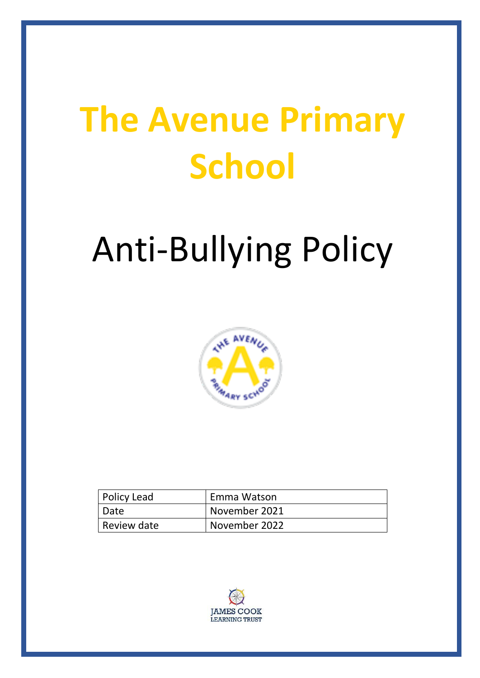# **The Avenue Primary School**

# Anti-Bullying Policy



| Policy Lead | Emma Watson   |
|-------------|---------------|
| Date        | November 2021 |
| Review date | November 2022 |

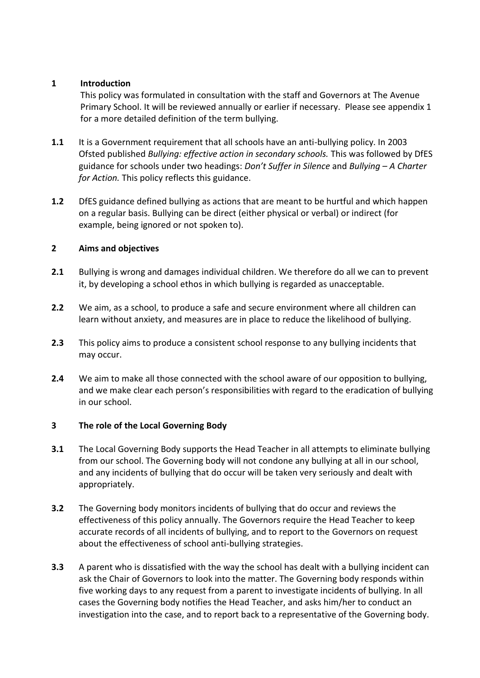# **1 Introduction**

This policy was formulated in consultation with the staff and Governors at The Avenue Primary School. It will be reviewed annually or earlier if necessary. Please see appendix 1 for a more detailed definition of the term bullying.

- **1.1** It is a Government requirement that all schools have an anti-bullying policy. In 2003 Ofsted published *Bullying: effective action in secondary schools.* This was followed by DfES guidance for schools under two headings: *Don't Suffer in Silence* and *Bullying – A Charter for Action.* This policy reflects this guidance.
- **1.2** DfES guidance defined bullying as actions that are meant to be hurtful and which happen on a regular basis. Bullying can be direct (either physical or verbal) or indirect (for example, being ignored or not spoken to).

# **2 Aims and objectives**

- **2.1** Bullying is wrong and damages individual children. We therefore do all we can to prevent it, by developing a school ethos in which bullying is regarded as unacceptable.
- **2.2** We aim, as a school, to produce a safe and secure environment where all children can learn without anxiety, and measures are in place to reduce the likelihood of bullying.
- **2.3** This policy aims to produce a consistent school response to any bullying incidents that may occur.
- **2.4** We aim to make all those connected with the school aware of our opposition to bullying, and we make clear each person's responsibilities with regard to the eradication of bullying in our school.

# **3 The role of the Local Governing Body**

- **3.1** The Local Governing Body supports the Head Teacher in all attempts to eliminate bullying from our school. The Governing body will not condone any bullying at all in our school, and any incidents of bullying that do occur will be taken very seriously and dealt with appropriately.
- **3.2** The Governing body monitors incidents of bullying that do occur and reviews the effectiveness of this policy annually. The Governors require the Head Teacher to keep accurate records of all incidents of bullying, and to report to the Governors on request about the effectiveness of school anti-bullying strategies.
- **3.3** A parent who is dissatisfied with the way the school has dealt with a bullying incident can ask the Chair of Governors to look into the matter. The Governing body responds within five working days to any request from a parent to investigate incidents of bullying. In all cases the Governing body notifies the Head Teacher, and asks him/her to conduct an investigation into the case, and to report back to a representative of the Governing body.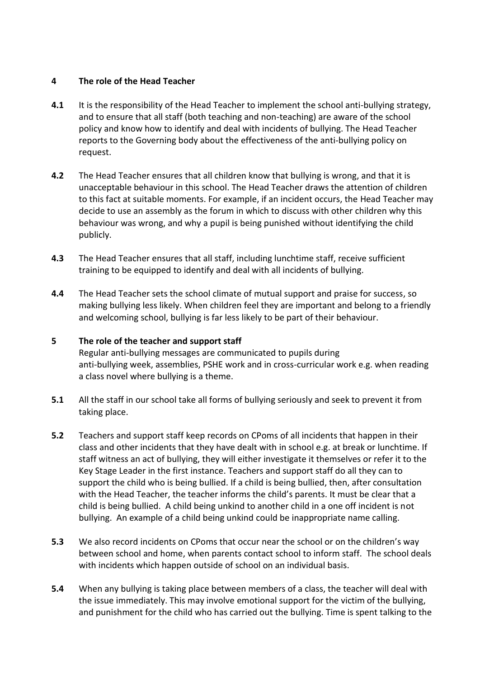# **4 The role of the Head Teacher**

- **4.1** It is the responsibility of the Head Teacher to implement the school anti-bullying strategy, and to ensure that all staff (both teaching and non-teaching) are aware of the school policy and know how to identify and deal with incidents of bullying. The Head Teacher reports to the Governing body about the effectiveness of the anti-bullying policy on request.
- **4.2** The Head Teacher ensures that all children know that bullying is wrong, and that it is unacceptable behaviour in this school. The Head Teacher draws the attention of children to this fact at suitable moments. For example, if an incident occurs, the Head Teacher may decide to use an assembly as the forum in which to discuss with other children why this behaviour was wrong, and why a pupil is being punished without identifying the child publicly.
- **4.3** The Head Teacher ensures that all staff, including lunchtime staff, receive sufficient training to be equipped to identify and deal with all incidents of bullying.
- **4.4** The Head Teacher sets the school climate of mutual support and praise for success, so making bullying less likely. When children feel they are important and belong to a friendly and welcoming school, bullying is far less likely to be part of their behaviour.

# **5 The role of the teacher and support staff**

Regular anti-bullying messages are communicated to pupils during anti-bullying week, assemblies, PSHE work and in cross-curricular work e.g. when reading a class novel where bullying is a theme.

- **5.1** All the staff in our school take all forms of bullying seriously and seek to prevent it from taking place.
- **5.2** Teachers and support staff keep records on CPoms of all incidents that happen in their class and other incidents that they have dealt with in school e.g. at break or lunchtime. If staff witness an act of bullying, they will either investigate it themselves or refer it to the Key Stage Leader in the first instance. Teachers and support staff do all they can to support the child who is being bullied. If a child is being bullied, then, after consultation with the Head Teacher, the teacher informs the child's parents. It must be clear that a child is being bullied. A child being unkind to another child in a one off incident is not bullying. An example of a child being unkind could be inappropriate name calling.
- **5.3** We also record incidents on CPoms that occur near the school or on the children's way between school and home, when parents contact school to inform staff. The school deals with incidents which happen outside of school on an individual basis.
- **5.4** When any bullying is taking place between members of a class, the teacher will deal with the issue immediately. This may involve emotional support for the victim of the bullying, and punishment for the child who has carried out the bullying. Time is spent talking to the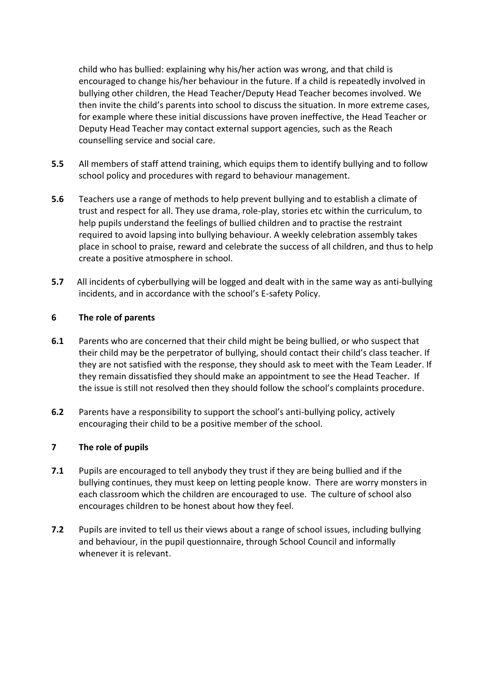child who has bullied: explaining why his/her action was wrong, and that child is encouraged to change his/her behaviour in the future. If a child is repeatedly involved in bullying other children, the Head Teacher/Deputy Head Teacher becomes involved. We then invite the child's parents into school to discuss the situation. In more extreme cases, for example where these initial discussions have proven ineffective, the Head Teacher or Deputy Head Teacher may contact external support agencies, such as the Reach counselling service and social care.

- **5.5** All members of staff attend training, which equips them to identify bullying and to follow school policy and procedures with regard to behaviour management.
- **5.6** Teachers use a range of methods to help prevent bullying and to establish a climate of trust and respect for all. They use drama, role-play, stories etc within the curriculum, to help pupils understand the feelings of bullied children and to practise the restraint required to avoid lapsing into bullying behaviour. A weekly celebration assembly takes place in school to praise, reward and celebrate the success of all children, and thus to help create a positive atmosphere in school.
- **5.7** All incidents of cyberbullying will be logged and dealt with in the same way as anti-bullying incidents, and in accordance with the school's E-safety Policy.

#### **6 The role of parents**

- **6.1** Parents who are concerned that their child might be being bullied, or who suspect that their child may be the perpetrator of bullying, should contact their child's class teacher. If they are not satisfied with the response, they should ask to meet with the Team Leader. If they remain dissatisfied they should make an appointment to see the Head Teacher. If the issue is still not resolved then they should follow the school's complaints procedure.
- **6.2** Parents have a responsibility to support the school's anti-bullying policy, actively encouraging their child to be a positive member of the school.

#### **7 The role of pupils**

- **7.1** Pupils are encouraged to tell anybody they trust if they are being bullied and if the bullying continues, they must keep on letting people know. There are worry monsters in each classroom which the children are encouraged to use. The culture of school also encourages children to be honest about how they feel.
- **7.2** Pupils are invited to tell us their views about a range of school issues, including bullying and behaviour, in the pupil questionnaire, through School Council and informally whenever it is relevant.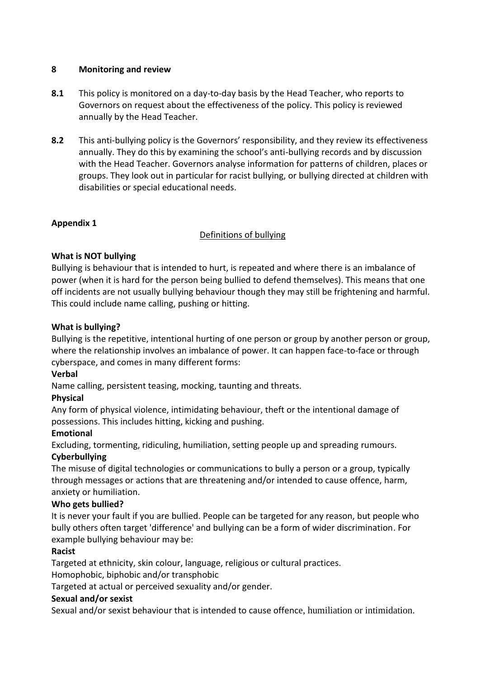#### **8 Monitoring and review**

- **8.1** This policy is monitored on a day-to-day basis by the Head Teacher, who reports to Governors on request about the effectiveness of the policy. This policy is reviewed annually by the Head Teacher.
- **8.2** This anti-bullying policy is the Governors' responsibility, and they review its effectiveness annually. They do this by examining the school's anti-bullying records and by discussion with the Head Teacher. Governors analyse information for patterns of children, places or groups. They look out in particular for racist bullying, or bullying directed at children with disabilities or special educational needs.

# **Appendix 1**

# Definitions of bullying

# **What is NOT bullying**

Bullying is behaviour that is intended to hurt, is repeated and where there is an imbalance of power (when it is hard for the person being bullied to defend themselves). This means that one off incidents are not usually bullying behaviour though they may still be frightening and harmful. This could include name calling, pushing or hitting.

#### **What is bullying?**

Bullying is the repetitive, intentional hurting of one person or group by another person or group, where the relationship involves an imbalance of power. It can happen face-to-face or through cyberspace, and comes in many different forms:

#### **Verbal**

Name calling, persistent teasing, mocking, taunting and threats.

# **Physical**

Any form of physical violence, intimidating behaviour, theft or the intentional damage of possessions. This includes hitting, kicking and pushing.

# **Emotional**

Excluding, tormenting, ridiculing, humiliation, setting people up and spreading rumours.

# **Cyberbullying**

The misuse of digital technologies or communications to bully a person or a group, typically through messages or actions that are threatening and/or intended to cause offence, harm, anxiety or humiliation.

# **Who gets bullied?**

It is never your fault if you are bullied. People can be targeted for any reason, but people who bully others often target 'difference' and bullying can be a form of wider discrimination. For example bullying behaviour may be:

#### **Racist**

Targeted at ethnicity, skin colour, language, religious or cultural practices. Homophobic, biphobic and/or transphobic

Targeted at actual or perceived sexuality and/or gender.

#### **Sexual and/or sexist**

Sexual and/or sexist behaviour that is intended to cause offence, humiliation or intimidation.